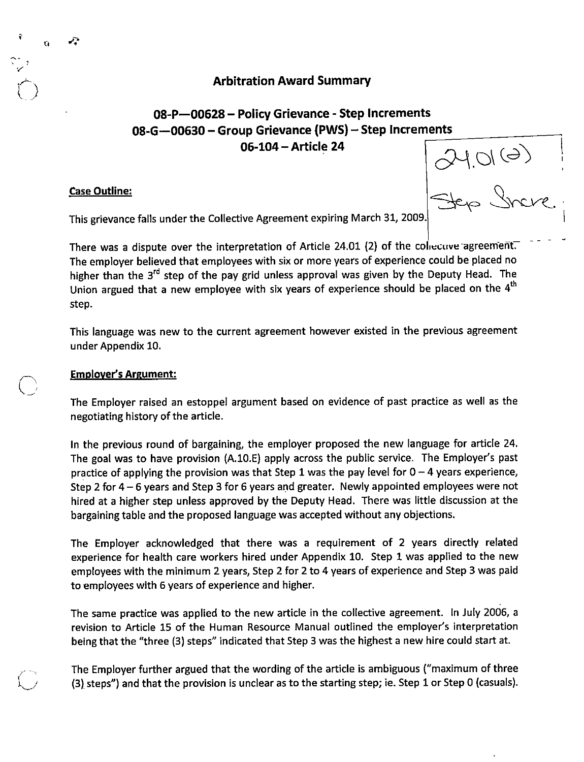## Arbitration Award Summary

## 08-P—00628 - Policy Grievance - Step Increments 08-G-00630 - Group Grievance (PWS) - Step Increments 06-104-Article 24

#### Case Outline;

?,

V.J

 $240(0)$ 

This grievance falls under the Collective Agreement expiring March 31, 20Q9.

There was a dispute over the interpretation of Article 24.01 (2) of the collective agreement. The employer believed that employees with six or more years of experience could be placed no higher than the  $3<sup>rd</sup>$  step of the pay grid unless approval was given by the Deputy Head. The Union argued that a new employee with six years of experience should be placed on the  $4^{\text{th}}$ step.

This language was new to the current agreement however existed in the previous agreement under Appendix 10.

#### Emplover^s Argument:

The Employer raised an estoppel argument based on evidence of past practice as well as the negotiating history of the article.

In the previous round of bargaining, the employer proposed the new language for article 24. The goal was to have provision (A.IO.E) apply across the public service. The Employer's past practice of applying the provision was that Step 1 was the pay level for  $0 - 4$  years experience, Step 2 for 4 - 6 years and Step 3 for 6 years and greater. Newly appointed employees were not hired at a higher step unless approved by the Deputy Head. There was little discussion at the bargaining table and the proposed language was accepted without any objections.

The Employer acknowledged that there was a requirement of 2 years directly related experience for health care workers hired under Appendix 10. Step 1 was applied to the new employees with the minimum 2 years, Step 2 for 2 to 4 years of experience and Step 3 was paid to employees with 6 years of experience and higher.

The same practice was applied to the new article in the collective agreement. In July 2006, a revision to Article 15 of the Human Resource Manual outlined the employer's interpretation being that the "three (3) steps" indicated that Step 3 was the highest a new hire could start at.

The Employer further argued that the wording of the article is ambiguous ("maximum of three (3) steps") and that the provision is unclear as to the starting step; ie. Step 1 or Step 0 (casuals).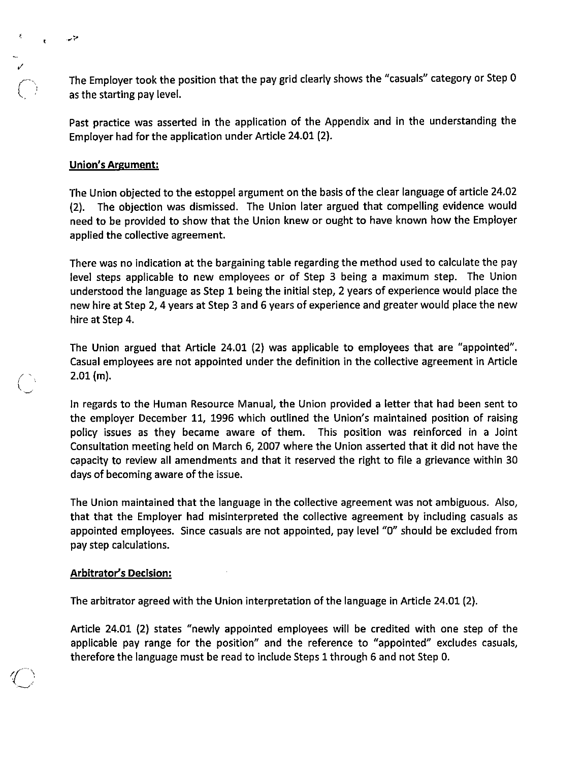The Employer took the position that the pay grid clearly shows the "casuals" category or Step 0 as the starting pay level.

Past practice was asserted in the application of the Appendix and in the understanding the Employer had for the application under Article24.01 (2).

## Union's Argument;

متهد

The Union objected to the estoppel argument on the basis of the clear language of article 24.02 (2). The objection was dismissed. The Union later argued that compelling evidence would need to be provided to show that the Union knew or ought to have known how the Employer applied the collective agreement.

There was no indication at the bargaining table regarding the method used to calculate the pay level steps applicable to new employees or of Step 3 being a maximum step. The Union understood the language as Step 1 being the initial step, 2 years of experience would place the new hire at Step 2, 4 years at Step 3 and 6 years of experience and greater would place the new hire at Step 4.

The Union argued that Article 24.01 (2) was applicable to employees that are "appointed". Casual employees are not appointed under the definition in the collective agreement in Article 2.01 (m).

In regards to the Human Resource Manual, the Union provided a letter that had been sent to the employer December 11, 1996 which outlined the Union's maintained position of raising policy issues as they became aware of them. This position was reinforced in a Joint Consultation meeting held on March 6, 2007 where the Union asserted that it did not have the capacity to review all amendments and that it reserved the right to file a grievance within 30 days of becoming aware of the issue.

The Union maintained that the language in the collective agreement was not ambiguous. Also, that that the Employer had misinterpreted the collective agreement by including casuals as appointed employees. Since casuals are not appointed, pay level "0" should be excluded from pay step calculations.

#### Arbitrator's Decision:

The arbitrator agreed with the Union interpretation of the language in Article 24.01 (2).

Article 24.01 (2) states "newly appointed employees will be credited with one step of the applicable pay range for the position" and the reference to "appointed" excludes casuals, therefore the language must be read to include Steps 1 through 6 and not Step 0.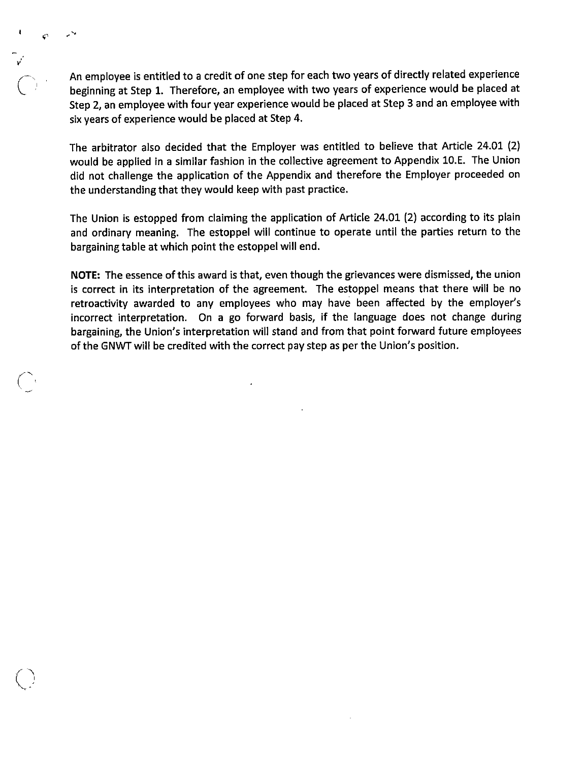An employee is entitled to a credit of one step for each two years of directly related experience beginning at Step 1. Therefore, an employee with two years of experience would be placed at Step 2, an employee with four year experience would be placed at Step 3 and an employee with six years of experience would be placed at Step 4.

 $\overline{C}$ 

«r

A

The arbitrator also decided that the Employer was entitled to believe that Article 24.01 (2) would be applied in a similar fashion in the collective agreement to Appendix lO.E. The Union did not challenge the application of the Appendix and therefore the Employer proceeded on the understanding that they would keep with past practice.

The Union is estopped from claiming the application of Article 24.01 (2) according to its plain and ordinary meaning. The estoppel will continue to operate until the parties return to the bargaining table at which point the estoppel will end.

NOTE: The essence of this award is that, even though the grievances were dismissed, the union is correct in its interpretation of the agreement. The estoppel means that there will be no retroactivity awarded to any employees who may have been affected by the employer's incorrect interpretation. On a go forward basis, if the language does not change during bargaining, the Union's interpretation will stand and from that point forward future employees of the GNWTwill be credited with the correct pay step as per the Union's position.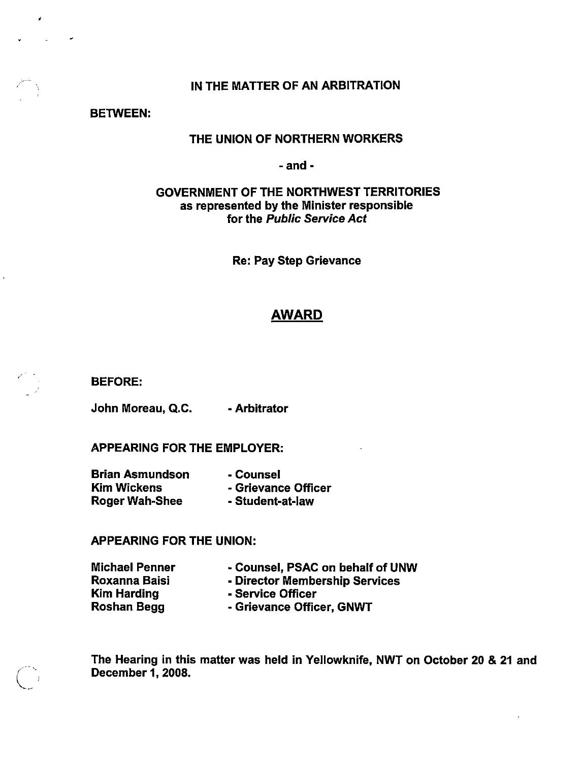## IN THE MATTER OF AN ARBITRATION

BETWEEN:

 $\hat{\pmb{y}}$ 

Ň,

## THE UNION OF NORTHERN WORKERS

- and -

## GOVERNMENT OF THE NORTHWEST TERRITORIES as represented by the Minister responsible for the Public Service Act

Re: Pay Step Grievance

## AWARD

BEFORE:

John Moreau, Q.C. - Arbitrator

APPEARING FOR THE EMPLOYER:

Brian Asmundson Kim Wickens Roger Wah-Shee - Counsel - Grievance Officer - Student-at-law

## APPEARING FOR THE UNION:

Michael Penner Roxanna Baisi Kim Harding Roshan Begg

- Director Membership Services

- Counsel, PSAC on behalf of UNW

- Service Officer
	- Grievance Officer, GNWT

The Hearing in this matter was held in Yellowknife, NWT on October 20 & 21 and December 1, 2008.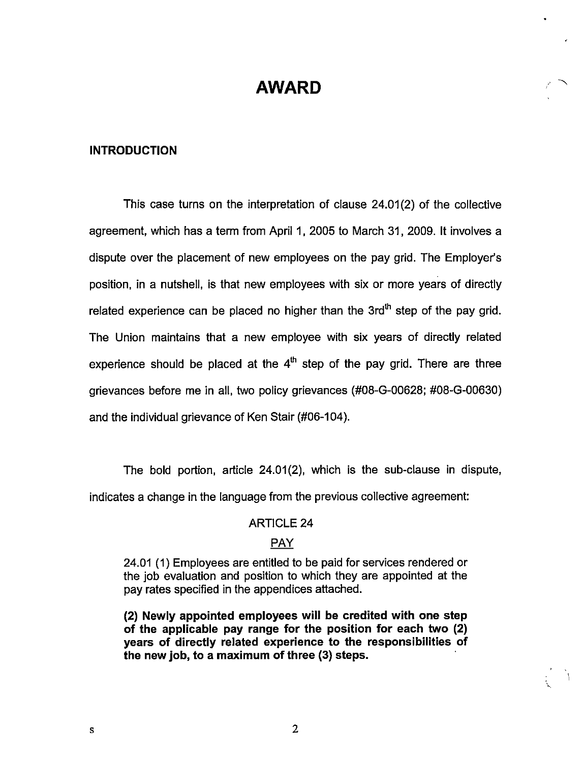# AWARD

## INTRODUCTION

This case turns on the interpretation of ciause 24.01(2) of the collective agreement, which has a term from April 1, 2005 to March 31, 2009. It involves a dispute over the placement of new employees on the pay grid. The Employer's position, in a nutshell, is that new employees with six or more years of directly related experience can be placed no higher than the  $3rd<sup>th</sup>$  step of the pay grid. The Union maintains that a new employee with six years of directly related experience should be placed at the  $4^{\text{th}}$  step of the pay grid. There are three grievances before me in all, two policy grievances (#08-6-00628; #08-6-00630) and the individual grievance of Ken Stair (#06-104).

The bold portion, article 24.01(2), which is the sub-clause in dispute, indicates a change in the language from the previous collective agreement:

## ARTICLE 24

## PAY

24.01 (1) Employees are entitled to be paid for services rendered or the job evaluation and position to which they are appointed at the pay rates specified in the appendices attached.

(2) Newly appointed employees will be credited with one step of the applicable pay range for the position for each two (2) years of directly related experience to the responsibilities of the new job, to a maximum of three (3) steps.

 ${\bf S}$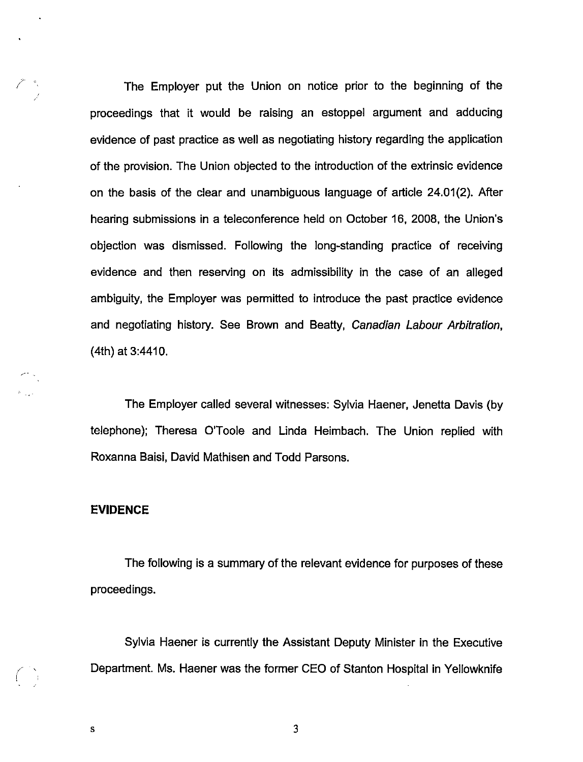The Employer put the Union on notice prior to the beginning of the proceedings that it would be raising an estoppel argument and adducing evidence of past practice as well as negotiating history regarding the application of the provision. The Union objected to the introduction of the extrinsic evidence on the basis of the clear and unambiguous language of article 24.01(2). After hearing submissions in a teleconference held on October 16, 2008, the Union's objection was dismissed. Following the long-standing practice of receiving evidence and then reserving on its admissibility in the case of an alleged ambiguity, the Employer was permitted to introduce the past practice evidence and negotiating history. See Brown and Beatty, Canadian Labour Arbitration, (4th) at 3:4410.

The Employer called several witnesses: Sylvia Haener, Jenetta Davis (by telephone): Theresa O'Toole and Linda Heimbach. The Union replied with Roxanna Baisi, David Mathisen and Todd Parsons.

#### EVIDENCE

The following is a summary of the relevant evidence for purposes of these proceedings.

Sylvia Haener is currently the Assistant Deputy Minister in the Executive Department. Ms. Haener was the former CEO of Stanton Hospital in Yellowknife

3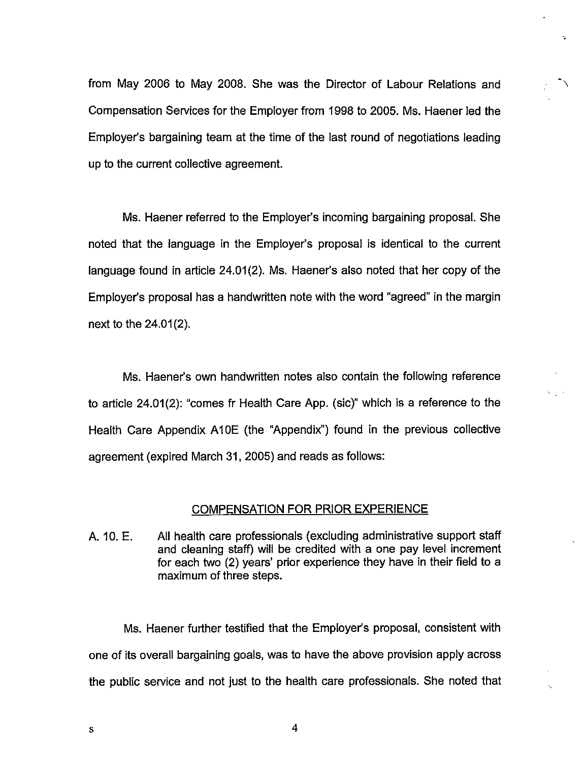from May 2006 to May 2008. She was the Director of Labour Relations and Compensation Services for the Employer from 1998 to 2005. Ms. Haener led the Employer's bargaining team at the time of the last round of negotiations leading up to the current collective agreement.

Ms. Haener referred to the Employer's incoming bargaining proposal. She noted that the language in the Employer's proposal is identical to the current language found in article 24.01(2). Ms. Haener's also noted that her copy of the Employer's proposal has a handwritten note with the word "agreed" in the margin next to the 24.01(2).

Ms. Haener's own handwritten notes also contain the following reference to article 24.01(2): "comes fr Health Care App. (sic)" which is a reference to the Health Care Appendix A10E (the "Appendix") found in the previous collective agreement (expired March 31, 2005) and reads as follows:

#### COMPENSATION FOR PRIOR EXPERIENCE

A. 10. E. All health care professionals (excluding administrative support staff and cleaning staff) will be credited with a one pay level increment for each two (2) years' prior experience they have in their field to a maximum of three steps.

Ms. Haener further testified that the Employer's proposal, consistent with one of its overall bargaining goals, was to have the above provision apply across the public service and not just to the health care professionals. She noted that

4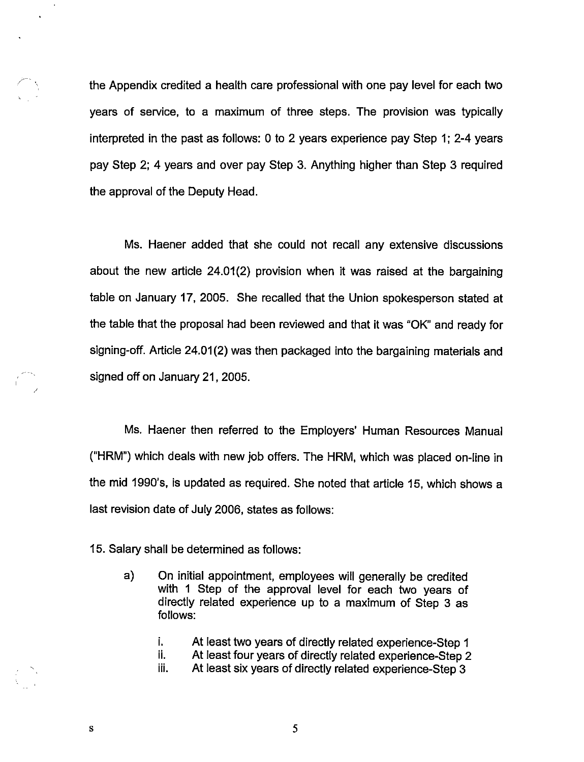the Appendix credited a health care professional with one pay level for each two years of service, to a maximum of three steps. The provision was typically interpreted in the past as follows: 0 to 2 years experience pay Step 1; 2-4 years pay Step 2; 4 years and over pay Step 3. Anything higher than Step 3 required the approval of the Deputy Head.

Ms. Haener added that she could not recall any extensive discussions about the new article 24.01(2) provision when it was raised at the bargaining table on January 17, 2005. She recalled that the Union spokesperson stated at the table that the proposal had been reviewed and that it was "OK" and ready for signing-off. Article 24.01(2) was then packaged into the bargaining materials and signed off on January 21, 2005.

Ms. Haener then referred to the Employers' Human Resources Manual ("HRM") which deals with new job offers. The HRM, which was placed on-line in the mid 1990's, is updated as required. She noted that article 15, which shows a last revision date of July 2006, states as follows:

15. Salary shall be determined as follows:

a) On initial appointment, employees will generally be credited with 1 Step of the approval level for each two years of directly related experience up to a maximum of Step 3 as follows:

5

j. At least two years of directly related experience-Step 1 i. At least four years of directly related experience-Step 2 ii. At least six years of directly related experience-Step 3

 $\mathbf s$ 

 $\ddot{\phantom{1}}$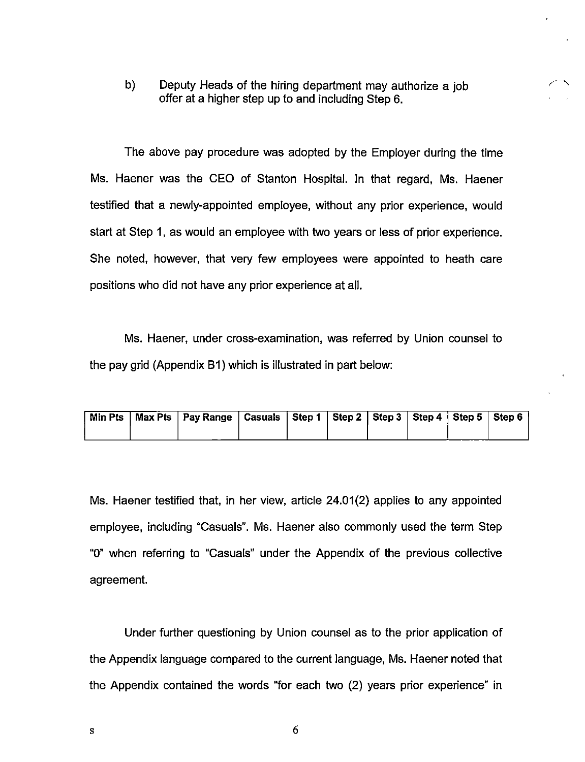b) Deputy Heads of the hiring department may authorize a job offer at a higher step up to and including Step 6.

The above pay procedure was adopted by the Employer during the time Ms. Haener was the CEO of Stanton Hospital, in that regard, Ms. Haener testified that a newly-appointed employee, without any prior experience, would start at Step 1, as would an employee with two years or less of prior experience. She noted, however, that very few employees were appointed to heath care positions who did not have any prior experience at all.

Ms. Haener, under cross-examination, was referred by Union counsel to the pay grid (Appendix B1) which is illustrated in part below:

|  | Min Pts   Max Pts   Pay Range   Casuals   Step 1   Step 2   Step 3   Step 4   Step 5   Step 6 |  |  |  |  |
|--|-----------------------------------------------------------------------------------------------|--|--|--|--|
|  |                                                                                               |  |  |  |  |

Ms. Haener testified that, in her view, article 24.01(2) applies to any appointed employee, including "Casuals". Ms. Haener also commonly used the term Step "0" when referring to "Casuals" under the Appendix of the previous collective agreement.

Under further questioning by Union counsel as to the prior application of the Appendix language compared to the current language, Ms. Haener noted that the Appendix contained the words "for each two (2) years prior experience" in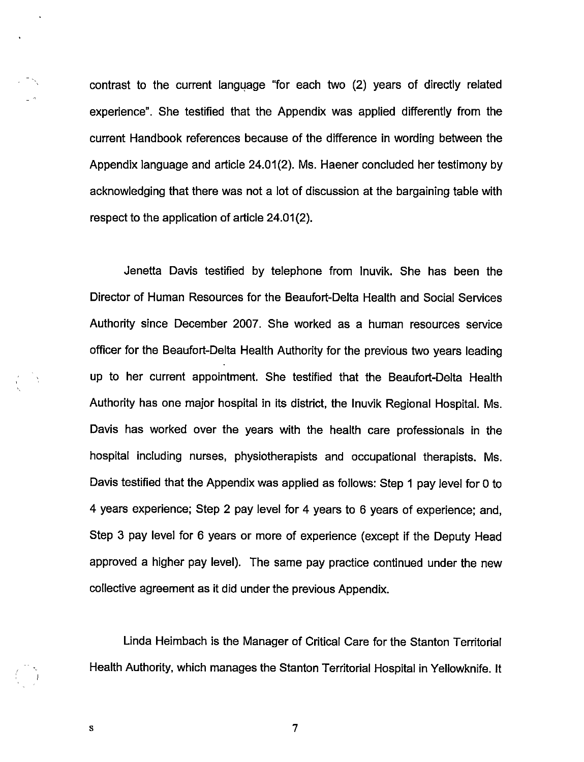contrast to the current language "for each two (2) years of directly related experience". She testified that the Appendix was applied differently from the current Handbook references because of the difference in wording between the Appendix language and article 24.01(2). Ms. Haener concluded her testimony by acknowledging that there was not a lot of discussion at the bargaining table with respect to the application of article 24.01(2).

Jenetta Davis testified by telephone from Inuvik. She has been the Director of Human Resources for the Beaufort-Delta Health and Social Services Authority since December 2007. She worked as a human resources service officer for the Beaufort-Delta Health Authority for the previous two years leading up to her current appointment. She testified that the Beaufort-Delta Health Authority has one major hospital in its district, the Inuvik Regional Hospital. Ms. Davis has worked over the years with the health care professionals in the hospital including nurses, physiotherapists and occupational therapists. Ms. Davis testified that the Appendix was applied as follows: Step 1 pay level for 0 to 4 years experience; Step 2 pay level for 4 years to 6 years of experience; and. Step 3 pay level for 6 years or more of experience (except if the Deputy Head approved a higher pay level). The same pay practice continued under the new collective agreement as it did under the previous Appendix.

Linda Heimbach is the Manager of Critical Care for the Stanton Temtorial Health Authority, which manages the Stanton Territorial Hospital in Yellowknife. It

7

S

 $\frac{1}{\sqrt{2}}$  ,  $\frac{1}{\sqrt{2}}$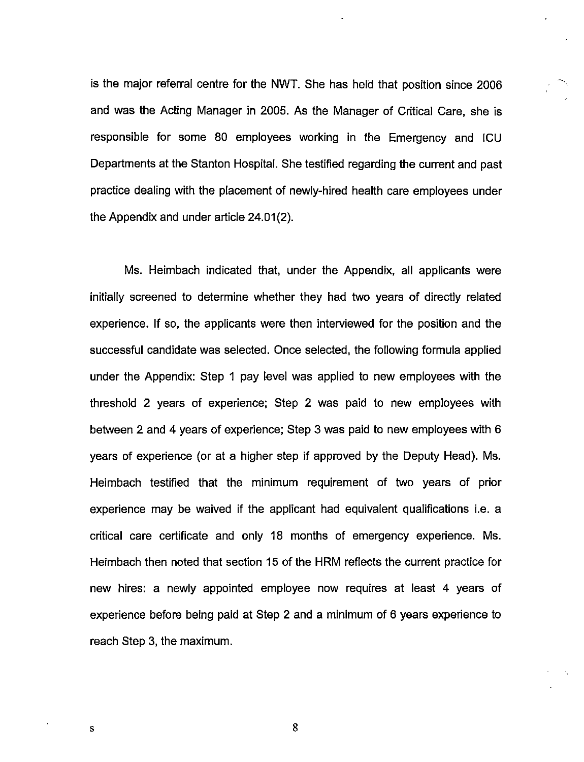is the major referral centre for the NWT. She has held that position since 2006 and was the Acting Manager in 2005. As the Manager of Critical Care, she is responsible for some 80 employees working in the Emergency and ICU Departments at the Stanton Hospital. She testified regarding the current and past practice dealing with the placement of newly-hired health care employees under the Appendix and under article 24.01(2).

Ms. Heimbach indicated that, under the Appendix, all applicants were Initially screened to determine whether they had two years of directly related experience. If so, the applicants were then interviewed for the position and the successful candidate was selected. Once selected, the following formula applied under the Appendix: Step 1 pay level was applied to new employees with the threshold 2 years of experience; Step 2 was paid to new employees with between 2 and 4 years of experience; Step 3 was paid to new employees with 6 years of experience (or at a higher step if approved by the Deputy Head). Ms. Heimbach testified that the minimum requirement of two years of prior experience may be waived if the applicant had equivalent qualifications i.e. a critical care certificate and only 18 months of emergency experience. Ms. Heimbach then noted that section 15 of the HRM reflects the current practice for new hires: a newly appointed employee now requires at least 4 years of experience before being paid at Step 2 and a minimum of 6 years experience to reach Step 3, the maximum.

8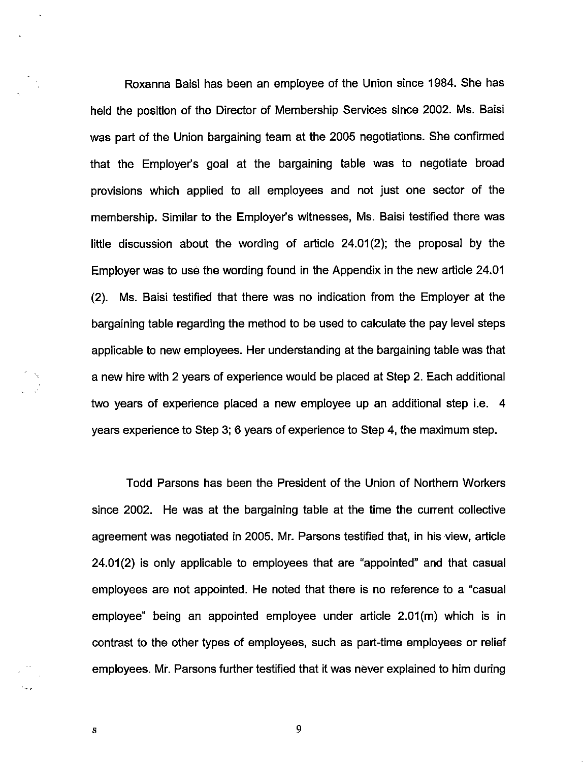Roxanna Baisi has been an employee of the Union since 1984. She has held the position of the Director of Membership Services since 2002. Ms. Baisi was part of the Union bargaining team at the 2005 negotiations. She confirmed that the Employer's goal at the bargaining table was to negotiate broad provisions which applied to all employees and not just one sector of the membership. Similar to the Employer's witnesses, Ms. Baisi testified there was little discussion about the wording of article 24.01(2); the proposal by the Employer was to use the wording found in the Appendix in the new article 24.01 (2). Ms. Baisi testified that there was no indication from the Employer at the bargaining table regarding the method to be used to calculate the pay level steps applicable to new employees. Her understanding at the bargaining table was that a new hire with 2 years of experience would be placed at Step 2. Each additional two years of experience placed a new employee up an additional step i.e. 4 years experience to Step 3; 6 years of experience to Step 4, the maximum step.

Todd Parsons has been the President of the Union of Northern Workers since 2002. He was at the bargaining table at the time the current collective agreement was negotiated in 2005. Mr. Parsons testified that, in his view, article 24.01(2) is only applicable to employees that are "appointed" and that casual employees are not appointed. He noted that there is no reference to a "casual employee" being an appointed employee under article 2.01(m) which is in contrast to the other types of employees, such as part-time employees or relief employees. Mr. Parsons further testified that it was never explained to him during

 $\mathbf{s}$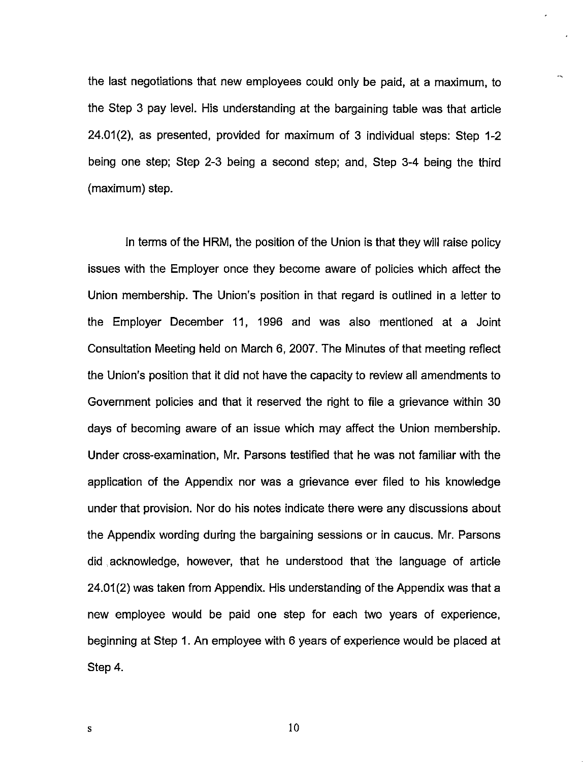the last negotiations that new employees could only be paid, at a maximum, to the Step 3 pay level. His understanding at the bargaining table was that article 24.01(2), as presented, provided for maximum of 3 individual steps: Step 1-2 being one step; Step 2-3 being a second step; and, Step 3-4 being the third (maximum) step.

In terms of the HRM, the position of the Union is that they will raise policy issues with the Employer once they become aware of policies which affect the Union membership. The Union's position in that regard is outlined in a letter to the Employer December 11, 1996 and was also mentioned at a Joint Consultation Meeting held on March 6, 2007. The Minutes of that meeting reflect the Union's position that it did not have the capacity to review all amendments to Government policies and that it reserved the right to file a grievance within 30 days of becoming aware of an issue which may affect the Union membership. Under cross-examination, Mr. Parsons testified that he was not familiar with the application of the Appendix nor was a grievance ever filed to his knowledge under that provision. Nor do his notes indicate there were any discussions about the Appendix wording during the bargaining sessions or in caucus. Mr. Parsons did acknowledge, however, that he understood that the language of article 24.01(2) was taken from Appendix. His understanding of the Appendix was that a new employee would be paid one step for each two years of experience, beginning at Step 1. An employee with 6 years of experience would be placed at Step 4.

 $\mathbf{s}$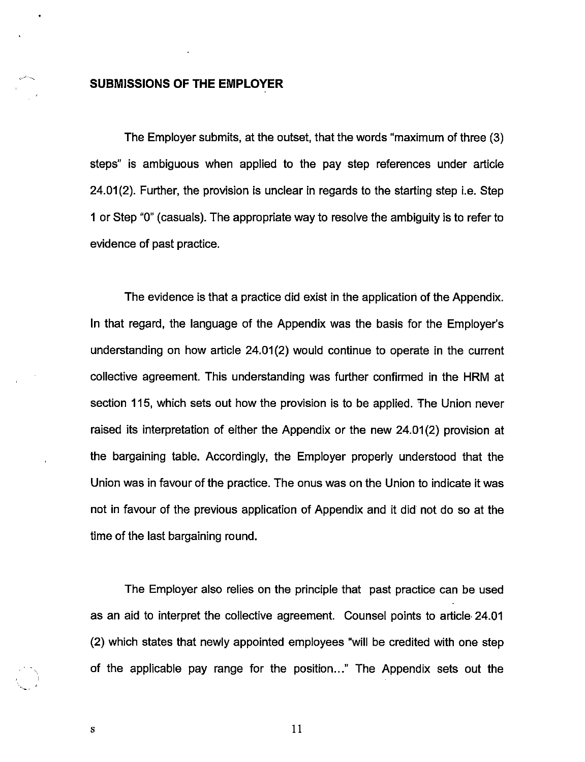## SUBMISSIONS OF THE EMPLOYER

The Employer submits, at the outset, that the words "maximum of three (3) steps" is ambiguous when applied to the pay step references under article  $24.01(2)$ . Further, the provision is unclear in regards to the starting step i.e. Step 1 or Step "0" (casuals). The appropriate way to resolve the ambiguity is to refer to evidence of past practice.

The evidence is that a practice did exist in the application of the Appendix. In that regard, the language of the Appendix was the basis for the Employer's understanding on how article 24.01(2) would continue to operate in the current collective agreement. This understanding was further confirmed in the HRM at section 115, which sets out how the provision is to be applied. The Union never raised its interpretation of either the Appendix or the new 24.01(2) provision at the bargaining table. Accordingly, the Employer properly understood that the Union was in favour of the practice. The onus was on the Union to indicate it was not in favour of the previous application of Appendix and It did not do so at the time of the last bargaining round.

The Employer also relies on the principle that past practice can be used as an aid to interpret the collective agreement. Counsel points to article 24.01 (2) which states that newly appointed employees "will be credited with one step of the applicable pay range for the position..." The Appendix sets out the

11

 ${\bf S}$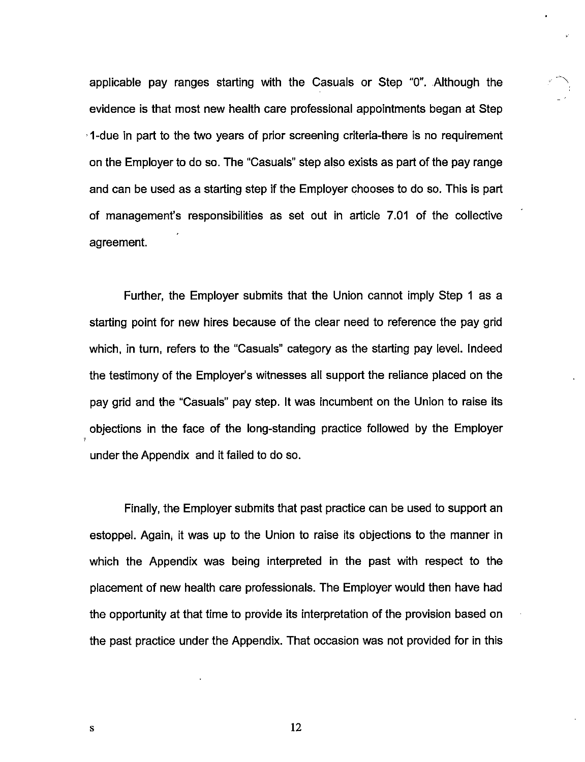applicable pay ranges starting with the Casuals or Step "0". Although the evidence is that most new health care professional appointments began at Step 1-due in part to the two years of prior screening criteria-there is no requirement on the Employer to do so. The "Casuals" step also exists as part of the pay range and can be used as a starting step if the Employer chooses to do so. This is part of management's responsibilities as set out in article 7.01 of the collective agreement.

Further, the Employer submits that the Union cannot imply Step 1 as a starting point for new hires because of the clear need to reference the pay grid which, in turn, refers to the "Casuals" category as the starting pay level. Indeed the testimony of the Employer's witnesses all support the reliance placed on the pay grid and the "Casuals" pay step. It was incumbent on the Union to raise its objections in the face of the long-standing practice followed by the Employer under the Appendix and it failed to do so.

Finally, the Employer submits that past practice can be used to support an estoppel. Again, it was up to the Union to raise its objections to the manner in which the Appendix was being interpreted in the past with respect to the placement of new health care professionals. The Employer would then have had the opportunity at that time to provide its interpretation of the provision based on the past practice under the Appendix. That occasion was not provided for in this

S

j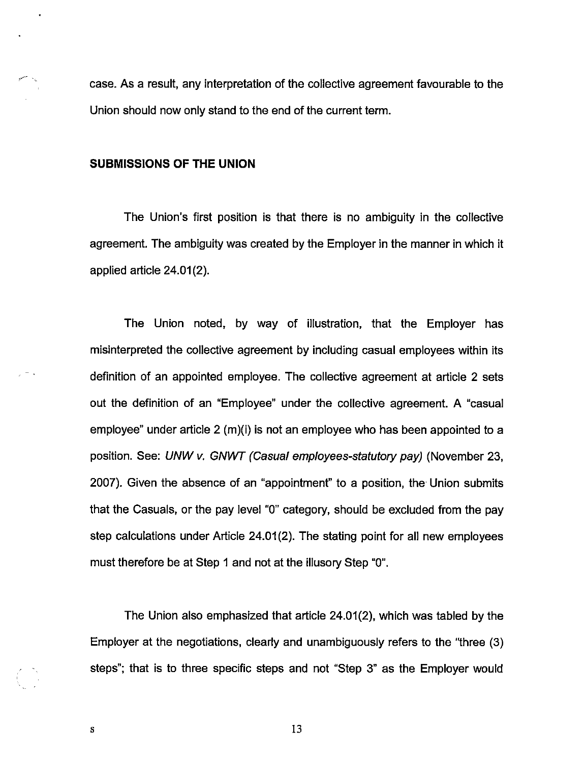case. As a result, any interpretation of the collective agreement favourable to the Union should now only stand to the end of the current term.

#### SUBMISSIONS OF THE UNION

 $\ddot{\phantom{0}}$ 

The Union's first position is that there is no ambiguity in the collective agreement. The ambiguity was created by the Employer in the manner in which it applied article 24.01(2).

The Union noted, by way of illustration, that the Employer has misinterpreted the collective agreement by including casual employees within its definition of an appointed employee. The collective agreement at article 2 sets out the definition of an "Employee" under the collective agreement. A "casual employee" under article 2 (m)(i) is not an employee who has been appointed to a position. See: UNW v. GNWT (Casual employees-statutory pay) (November 23, 2007). Given the absence of an "appointment" to a position, the Union submits that the Casuals, or the pay level "0" category, should be excluded from the pay step calculations under Article 24.01(2). The stating point for all new employees must therefore be at Step 1 and not at the illusory Step "0".

The Union also emphasized that article 24.01(2), which was tabled by the Employer at the negotiations, clearly and unambiguously refers to the "three (3) steps"; that is to three specific steps and not "Step 3" as the Employer would

S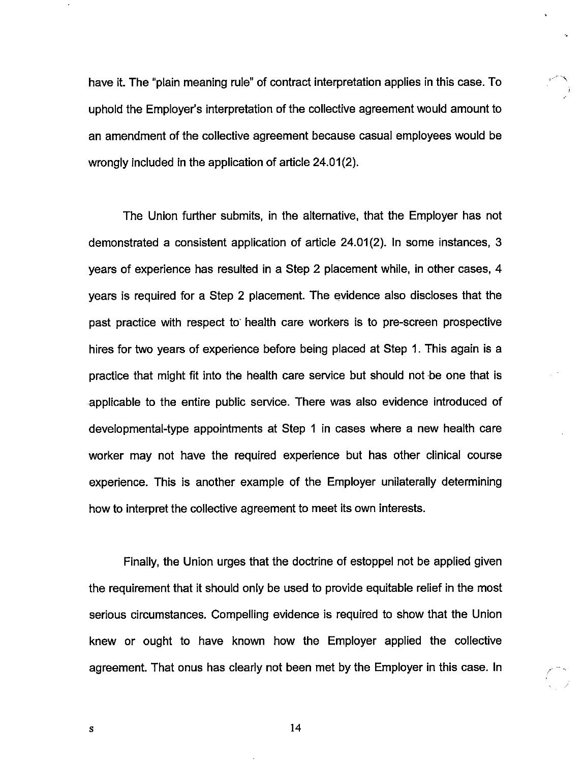have it. The "plain meaning rule" of contract interpretation applies in this case. To uphold the Employer's interpretation of the collective agreement would amount to an amendment of the collective agreement because casual employees would be wrongly included in the application of article 24.01(2).

The Union further submits, in the alternative, that the Employer has not demonstrated a consistent application of article 24.01(2). In some instances, 3 years of experience has resulted in a Step 2 placement while, in other cases, 4 years is required for a Step 2 placement. The evidence also discloses that the past practice with respect to health care workers is to pre-screen prospective hires for two years of experience before being placed at Step 1. This again is a practice that might fit into the health care service but should not be one that is applicable to the entire public service. There was also evidence introduced of developmental-type appointments at Step 1 in cases where a new health care worker may not have the required experience but has other clinical course experience. This is another example of the Employer unilaterally determining how to interpret the collective agreement to meet its own interests.

Finally, the Union urges that the doctrine of estoppel not be applied given the requirement that it should only be used to provide equitable relief in the most serious circumstances. Compelling evidence is required to show that the Union knew or ought to have known how the Employer applied the collective agreement. That onus has clearly not been met by the Employer in this case. In

 $\mathbf{s}$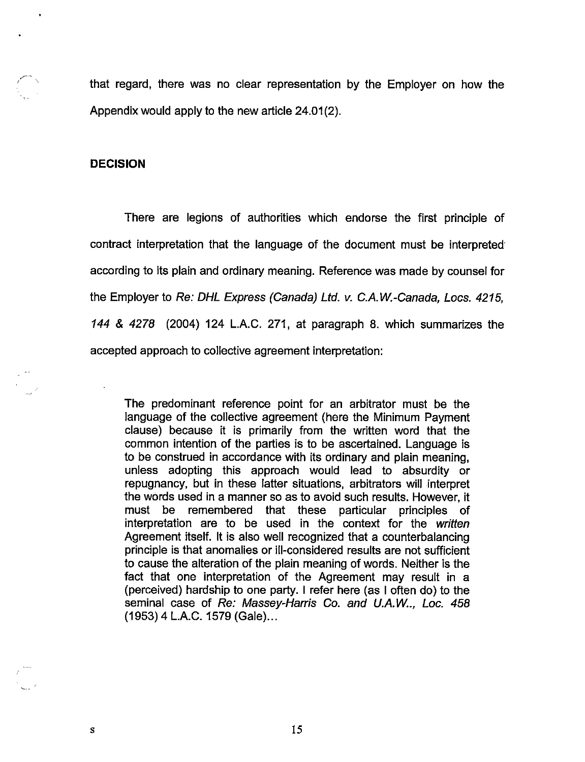that regard, there was no clear representation by the Employer on how the Appendix would apply to the new article 24.01(2).

#### DECISION

There are legions of authorities which endorse the first principle of contract interpretation that the language of the document must be interpreted according to its plain and ordinary meaning. Reference was made by counsel for the Employer to Re: DHL Express (Canada) Ltd. v. C.A.W.-Canada, Locs. 4215, 144 & 4278 (2004) 124 L.A.C. 271, at paragraph 8. which summarizes the accepted approach to collective agreement interpretation:

The predominant reference point for an arbitrator must be the language of the collective agreement (here the Minimum Payment clause) because it is primarily from the written word that the common Intention of the parties is to be ascertained. Language is to be construed in accordance with its ordinary and plain meaning, unless adopting this approach would lead to absurdity or repugnancy, but in these latter situations, arbitrators will interpret the words used in a manner so as to avoid such results. However, it must be remembered that these particular principles of interpretation are to be used in the context for the written Agreement itself. It is also well recognized that a counterbalancing principle is that anomalies or ill-considered results are not sufficient to cause the alteration of the plain meaning of words. Neither is the fact that one interpretation of the Agreement may result in a (perceived) hardship to one party. I refer here (as I often do) to the seminal case of Re: Massey-Harris Co. and U.A.W.., Loc. 458 (1953)4 L.A.C. 1579 (Gale)...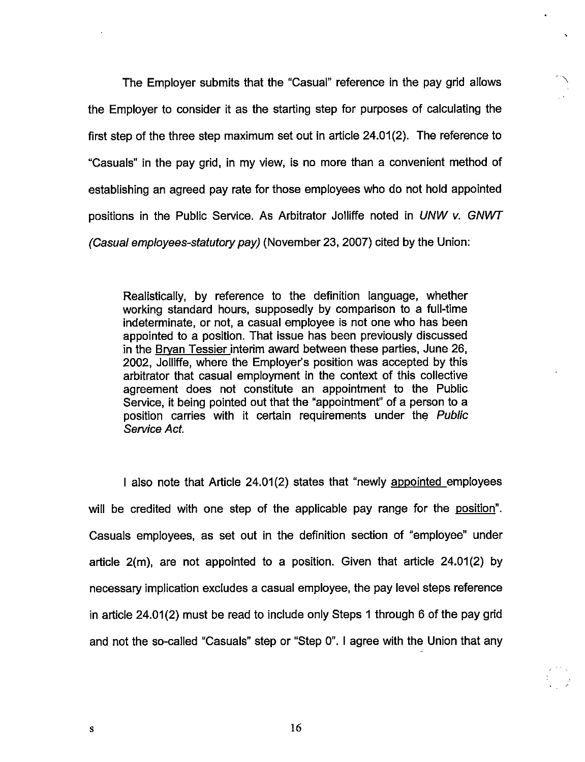The Employer submits that the "Casual" reference in the pay grid allows ^ the Employer to consider it as the starting step for purposes of calculating the first step of the three step maximum set out in article 24.01(2). The reference to "Casuals" in the pay grid, in my view, is no more than a convenient method of establishing an agreed pay rate for those employees who do not hold appointed positions in the Public Service. As Arbitrator Jolliffe noted in UNW v. GNWT (Casual employees-statutory pay) (November 23, 2007) cited by the Union:

Realistically, by reference to the definition language, whether working standard hours, supposedly by comparison to a full-time indeterminate, or not, a casual employee is not one who has been appointed to a position. That issue has been previously discussed in the Brvan Tessier interim award between these parties, June 26, 2002, Jolliffe, where the Employer's position was accepted by this arbitrator that casual employment in the context of this collective agreement does not constitute an appointment to the Public Service, it being pointed out that the "appointment" of a person to a position carries with it certain requirements under the Public Service Act.

I also note that Article 24.01(2) states that "newly appointed emolovees will be credited with one step of the applicable pay range for the position". Casuals employees, as set out in the definition section of "employee" under article 2(m), are not appointed to a position. Given that article 24.01(2) by necessary implication excludes a casual employee, the pay level steps reference in article 24.01(2) must be read to include only Steps 1 through 6 of the pay grid and not the so-called "Casuals" step or "Step 0". I agree with the Union that any

 ${\bf S}$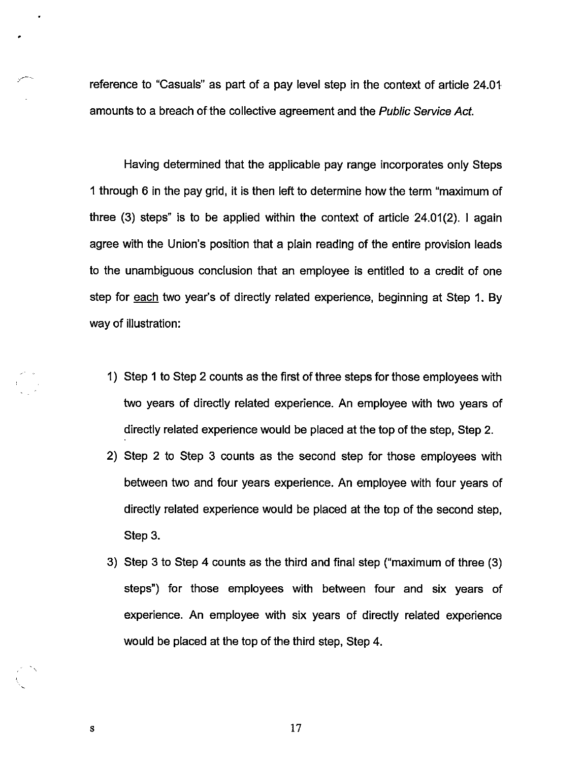reference to "Casuals" as part of a pay level step in the context of article 24.01 amounts to a breach of the collective agreement and the Public Service Act.

Having determined that the applicable pay range incorporates only Steps 1 through 6 in the pay grid, it is then left to determine how the term "maximum of three (3) steps" is to be applied within the context of article 24.01(2). 1 again agree with the Union's position that a plain reading of the entire provision leads to the unambiguous conclusion that an employee is entitled to a credit of one step for each two year's of directly related experience, beginning at Step 1. By way of illustration:

- 1) Step 1 to Step 2 counts as the first of three steps for those employees with two years of directly related experience. An employee with two years of directly related experience would be placed at the top of the step, Step 2.
- 2) Step 2 to Step 3 counts as the second step for those employees with between two and four years experience. An employee with four years of directly related experience would be placed at the top of the second step, Step 3.
- 3) Step 3 to Step 4 counts as the third and final step ("maximum of three (3) steps") for those employees with between four and six years of experience. An employee with six years of directly related experience would be placed at the top of the third step. Step 4.

17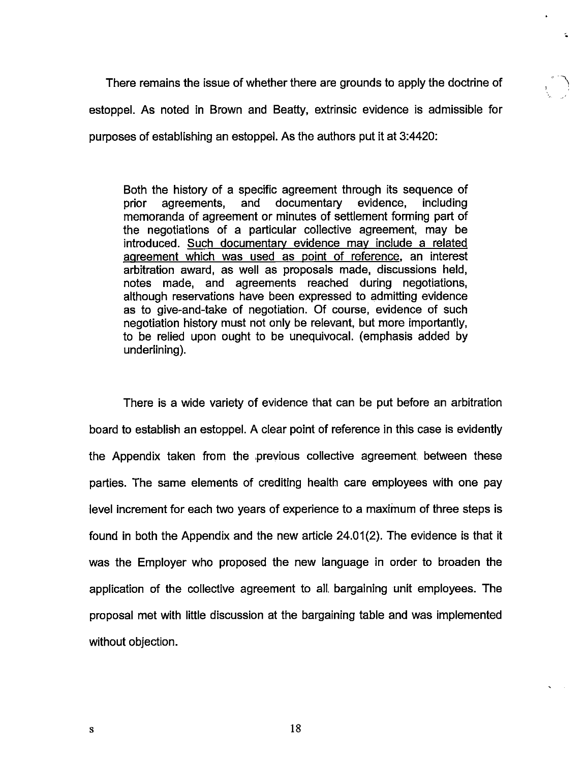There remains the issue of whether there are grounds to apply the doctrine of estoppel. As noted in Brown and Beatty, extrinsic evidence is admissible for purposes of establishing an estoppel. As the authors put it at 3:4420:

Both the history of a specific agreement through its sequence of prior agreements, and documentary evidence, including memoranda of agreement or minutes of settlement forming part of the negotiations of a particular collective agreement, may be introduced. Such documentary evidence may include a related agreement which was used as point of reference, an interest arbitration award, as well as proposals made, discussions held, notes made, and agreements reached during negotiations, although reservations have been expressed to admitting evidence as to give-and-take of negotiation. Of course, evidence of such negotiation history must not only be relevant, but more importantly, to be relied upon ought to be unequivocal, (emphasis added by underlining).

There is a wide variety of evidence that can be put before an arbitration board to establish an estoppel. A clear point of reference in this case is evidently the Appendix taken from the previous collective agreement between these parties. The same elements of crediting health care employees with one pay level increment for each two years of experience to a maximum of three steps is found in both the Appendix and the new article 24.01(2). The evidence is that it was the Employer who proposed the new language in order to broaden the application of the collective agreement to all, bargaining unit employees. The proposal met with little discussion at the bargaining table and was implemented without objection.

18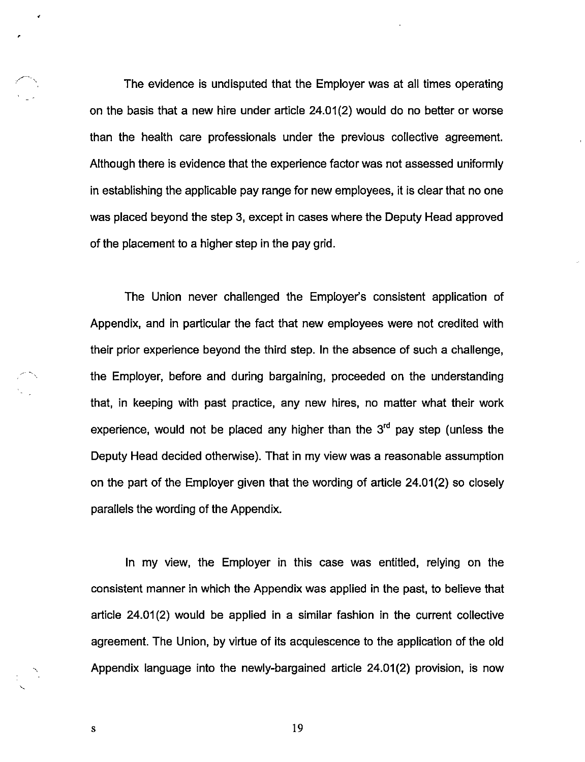The evidence is undisputed that the Employer was at all times operating on the basis that a new hire under article 24.01(2) would do no better or worse than the health care professionals under the previous collective agreement. Although there is evidence that the experience factor was not assessed uniformly in establishing the applicable pay range for new employees, it is clear that no one was placed beyond the step 3, except in cases where the Deputy Head approved of the placement to a higher step in the pay grid.

The Union never challenged the Employer's consistent application of Appendix, and in particular the fact that new employees were not credited with their prior experience beyond the third step. In the absence of such a challenge, the Employer, before and during bargaining, proceeded on the understanding that, in keeping with past practice, any new hires, no matter what their work experience, would not be placed any higher than the  $3<sup>rd</sup>$  pay step (unless the Deputy Head decided otherwise). That in my view was a reasonable assumption on the part of the Employer given that the wording of article 24.01(2) so closely parallels the wording of the Appendix.

In my view, the Employer in this case was entitled, relying on the consistent manner In which the Appendix was applied in the past, to believe that article 24.01(2) would be applied in a similar fashion in the current collective agreement. The Union, by virtue of its acquiescence to the application of the old Appendix language into the newly-bargained article 24.01(2) provision, is now

19

 $\bf S$